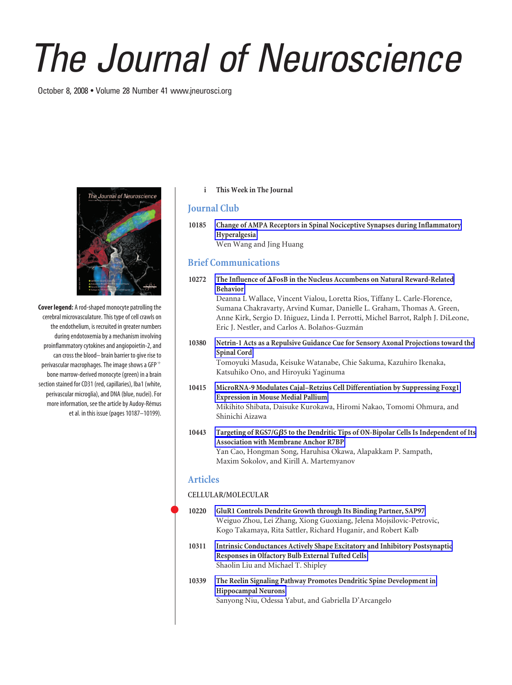# *The Journal of Neuroscience*

October 8, 2008 • Volume 28 Number 41 www.jneurosci.org



**Cover legend:** A rod-shaped monocyte patrolling the cerebral microvasculature. This type of cell crawls on the endothelium, is recruited in greater numbers during endotoxemia by a mechanism involving proinflammatory cytokines and angiopoietin-2, and can cross the blood– brain barrier to give rise to perivascular macrophages. The image shows a GFP bone marrow-derived monocyte (green) in a brain section stained for CD31 (red, capillaries), Iba1 (white, perivascular microglia), and DNA (blue, nuclei). For more information, see the article by Audoy-Rémus et al. in this issue (pages 10187–10199).

**i This Week in The Journal**

# **Journal Club**

**10185 Change of AMPA Receptors in Spinal Nociceptive Synapses during Inflammatory Hyperalgesia** Wen Wang and Jing Huang

# **Brief Communications**

**10272 The Influence of FosB in the Nucleus Accumbens on Natural Reward-Related Behavior** Deanna L Wallace, Vincent Vialou, Loretta Rios, Tiffany L. Carle-Florence, Sumana Chakravarty, Arvind Kumar, Danielle L. Graham, Thomas A. Green,

Anne Kirk, Sergio D. Iñiguez, Linda I. Perrotti, Michel Barrot, Ralph J. DiLeone, Eric J. Nestler, and Carlos A. Bolaños-Guzmán

- **10380 Netrin-1 Acts as a Repulsive Guidance Cue for Sensory Axonal Projections toward the Spinal Cord** Tomoyuki Masuda, Keisuke Watanabe, Chie Sakuma, Kazuhiro Ikenaka, Katsuhiko Ono, and Hiroyuki Yaginuma
- **10415 MicroRNA-9 Modulates Cajal–Retzius Cell Differentiation by Suppressing Foxg1 Expression in Mouse Medial Pallium** Mikihito Shibata, Daisuke Kurokawa, Hiromi Nakao, Tomomi Ohmura, and Shinichi Aizawa
- 10443 Targeting of RGS7/GB5 to the Dendritic Tips of ON-Bipolar Cells Is Independent of Its **Association with Membrane Anchor R7BP** Yan Cao, Hongman Song, Haruhisa Okawa, Alapakkam P. Sampath, Maxim Sokolov, and Kirill A. Martemyanov

### **Articles**

#### **CELLULAR/MOLECULAR**

- **10220 GluR1 Controls Dendrite Growth through Its Binding Partner, SAP97** Weiguo Zhou, Lei Zhang, Xiong Guoxiang, Jelena Mojsilovic-Petrovic, Kogo Takamaya, Rita Sattler, Richard Huganir, and Robert Kalb
- **10311 Intrinsic Conductances Actively Shape Excitatory and Inhibitory Postsynaptic Responses in Olfactory Bulb External Tufted Cells** Shaolin Liu and Michael T. Shipley
- **10339 The Reelin Signaling Pathway Promotes Dendritic Spine Development in Hippocampal Neurons** Sanyong Niu, Odessa Yabut, and Gabriella D'Arcangelo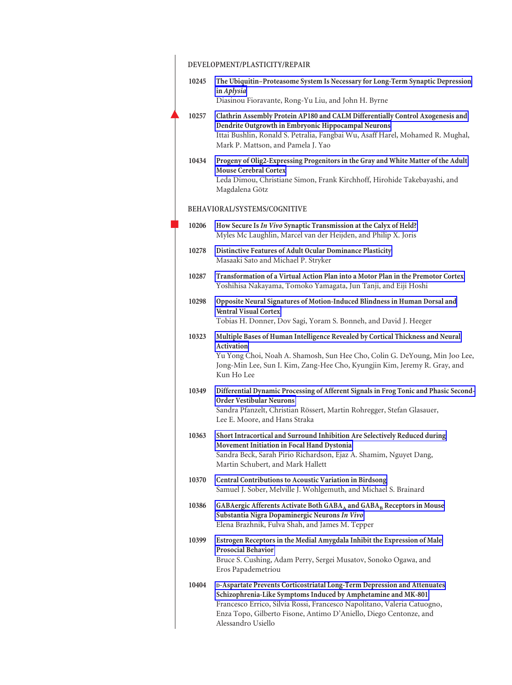|       | DEVELOPMENT/PLASTICITY/REPAIR                                                                                                                                                                                                                                                                                   |
|-------|-----------------------------------------------------------------------------------------------------------------------------------------------------------------------------------------------------------------------------------------------------------------------------------------------------------------|
| 10245 | The Ubiquitin-Proteasome System Is Necessary for Long-Term Synaptic Depression<br>in Aplysia                                                                                                                                                                                                                    |
|       | Diasinou Fioravante, Rong-Yu Liu, and John H. Byrne                                                                                                                                                                                                                                                             |
| 10257 | Clathrin Assembly Protein AP180 and CALM Differentially Control Axogenesis and<br>Dendrite Outgrowth in Embryonic Hippocampal Neurons<br>Ittai Bushlin, Ronald S. Petralia, Fangbai Wu, Asaff Harel, Mohamed R. Mughal,<br>Mark P. Mattson, and Pamela J. Yao                                                   |
| 10434 | Progeny of Olig2-Expressing Progenitors in the Gray and White Matter of the Adult<br><b>Mouse Cerebral Cortex</b><br>Leda Dimou, Christiane Simon, Frank Kirchhoff, Hirohide Takebayashi, and<br>Magdalena Götz                                                                                                 |
|       | BEHAVIORAL/SYSTEMS/COGNITIVE                                                                                                                                                                                                                                                                                    |
| 10206 | How Secure Is In Vivo Synaptic Transmission at the Calyx of Held?<br>Myles Mc Laughlin, Marcel van der Heijden, and Philip X. Joris                                                                                                                                                                             |
| 10278 | Distinctive Features of Adult Ocular Dominance Plasticity<br>Masaaki Sato and Michael P. Stryker                                                                                                                                                                                                                |
| 10287 | Transformation of a Virtual Action Plan into a Motor Plan in the Premotor Cortex<br>Yoshihisa Nakayama, Tomoko Yamagata, Jun Tanji, and Eiji Hoshi                                                                                                                                                              |
| 10298 | Opposite Neural Signatures of Motion-Induced Blindness in Human Dorsal and<br><b>Ventral Visual Cortex</b><br>Tobias H. Donner, Dov Sagi, Yoram S. Bonneh, and David J. Heeger                                                                                                                                  |
| 10323 | Multiple Bases of Human Intelligence Revealed by Cortical Thickness and Neural<br>Activation<br>Yu Yong Choi, Noah A. Shamosh, Sun Hee Cho, Colin G. DeYoung, Min Joo Lee,<br>Jong-Min Lee, Sun I. Kim, Zang-Hee Cho, Kyungjin Kim, Jeremy R. Gray, and<br>Kun Ho Lee                                           |
| 10349 | Differential Dynamic Processing of Afferent Signals in Frog Tonic and Phasic Second-<br><b>Order Vestibular Neurons</b><br>Sandra Pfanzelt, Christian Rössert, Martin Rohregger, Stefan Glasauer,<br>Lee E. Moore, and Hans Straka                                                                              |
| 10363 | Short Intracortical and Surround Inhibition Are Selectively Reduced during<br><b>Movement Initiation in Focal Hand Dystonia</b><br>Sandra Beck, Sarah Pirio Richardson, Ejaz A. Shamim, Nguyet Dang,<br>Martin Schubert, and Mark Hallett                                                                       |
| 10370 | Central Contributions to Acoustic Variation in Birdsong<br>Samuel J. Sober, Melville J. Wohlgemuth, and Michael S. Brainard                                                                                                                                                                                     |
| 10386 | GABAergic Afferents Activate Both GABA <sub>A</sub> and GABA <sub>B</sub> Receptors in Mouse<br>Substantia Nigra Dopaminergic Neurons In Vivo<br>Elena Brazhnik, Fulva Shah, and James M. Tepper                                                                                                                |
| 10399 | Estrogen Receptors in the Medial Amygdala Inhibit the Expression of Male<br><b>Prosocial Behavior</b><br>Bruce S. Cushing, Adam Perry, Sergei Musatov, Sonoko Ogawa, and<br>Eros Papademetriou                                                                                                                  |
| 10404 | D-Aspartate Prevents Corticostriatal Long-Term Depression and Attenuates<br>Schizophrenia-Like Symptoms Induced by Amphetamine and MK-801<br>Francesco Errico, Silvia Rossi, Francesco Napolitano, Valeria Catuogno,<br>Enza Topo, Gilberto Fisone, Antimo D'Aniello, Diego Centonze, and<br>Alessandro Usiello |